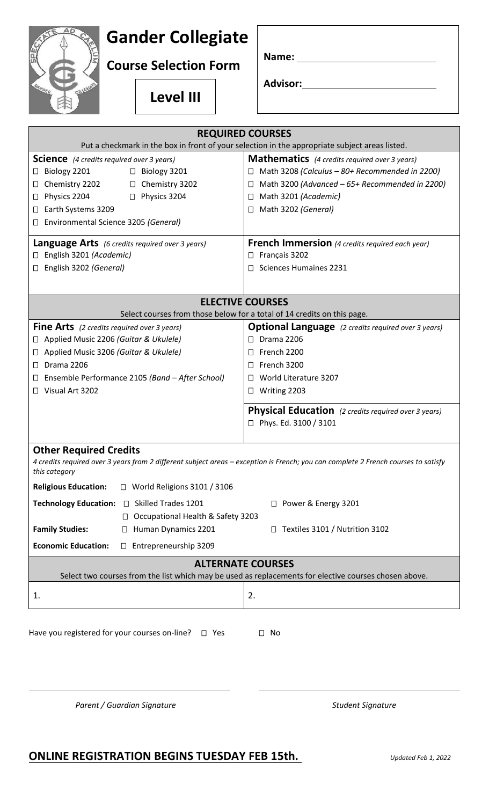## **Gander Collegiate**

**Course Selection Form**

**Level III**

| Name: |  |
|-------|--|
|       |  |

**Advisor:**

| <b>REQUIRED COURSES</b>                                                                                                                                                              |                                                                                                             |  |
|--------------------------------------------------------------------------------------------------------------------------------------------------------------------------------------|-------------------------------------------------------------------------------------------------------------|--|
| Put a checkmark in the box in front of your selection in the appropriate subject areas listed.                                                                                       |                                                                                                             |  |
| <b>Science</b> (4 credits required over 3 years)<br>Biology 2201<br>$\Box$ Biology 3201<br>$\Box$                                                                                    | <b>Mathematics</b> (4 credits required over 3 years)<br>Math 3208 (Calculus - 80+ Recommended in 2200)<br>П |  |
| $\Box$ Chemistry 3202<br>Chemistry 2202<br>Ш<br>Physics 2204<br>Physics 3204<br>Ц                                                                                                    | Math 3200 (Advanced - 65+ Recommended in 2200)<br>$\Box$<br>Math 3201 (Academic)<br>$\Box$                  |  |
| Earth Systems 3209<br>⊔<br>Environmental Science 3205 (General)<br>Ш                                                                                                                 | Math 3202 (General)<br>$\Box$                                                                               |  |
| <b>Language Arts</b> (6 credits required over 3 years)<br>English 3201 (Academic)                                                                                                    | <b>French Immersion</b> (4 credits required each year)<br>Français 3202<br>$\Box$                           |  |
| English 3202 (General)<br>$\Box$                                                                                                                                                     | <b>Sciences Humaines 2231</b><br>$\Box$                                                                     |  |
| <b>ELECTIVE COURSES</b>                                                                                                                                                              |                                                                                                             |  |
| Select courses from those below for a total of 14 credits on this page.                                                                                                              |                                                                                                             |  |
| <b>Fine Arts</b> (2 credits required over 3 years)<br>Applied Music 2206 (Guitar & Ukulele)<br>⊔                                                                                     | <b>Optional Language</b> (2 credits required over 3 years)<br><b>Drama 2206</b><br>$\Box$                   |  |
| Applied Music 3206 (Guitar & Ukulele)<br>$\Box$                                                                                                                                      | French 2200<br>Ш                                                                                            |  |
| Drama 2206<br>П                                                                                                                                                                      | French 3200<br>П                                                                                            |  |
| Ensemble Performance 2105 (Band - After School)<br>⊔                                                                                                                                 | World Literature 3207<br>$\Box$                                                                             |  |
| Visual Art 3202                                                                                                                                                                      | Writing 2203<br>$\Box$                                                                                      |  |
|                                                                                                                                                                                      | <b>Physical Education</b> (2 credits required over 3 years)<br>□ Phys. Ed. 3100 / 3101                      |  |
| <b>Other Required Credits</b><br>4 credits required over 3 years from 2 different subject areas - exception is French; you can complete 2 French courses to satisfy<br>this category |                                                                                                             |  |
| <b>Religious Education:</b><br>$\Box$ World Religions 3101 / 3106                                                                                                                    |                                                                                                             |  |
| Technology Education: □ Skilled Trades 1201<br>□ Power & Energy 3201<br>Occupational Health & Safety 3203<br>$\Box$                                                                  |                                                                                                             |  |
| <b>Family Studies:</b><br>Human Dynamics 2201<br>Ш                                                                                                                                   | $\Box$ Textiles 3101 / Nutrition 3102                                                                       |  |
| <b>Economic Education:</b><br>Entrepreneurship 3209<br>$\Box$                                                                                                                        |                                                                                                             |  |
| <b>ALTERNATE COURSES</b>                                                                                                                                                             |                                                                                                             |  |
| Select two courses from the list which may be used as replacements for elective courses chosen above.                                                                                |                                                                                                             |  |
| 1.                                                                                                                                                                                   | 2.                                                                                                          |  |
| Have you registered for your courses on-line?<br>$\square$ Yes<br>$\Box$ No                                                                                                          |                                                                                                             |  |

Parent / Guardian Signature **National Student Signature** Student Signature

## **ONLINE REGISTRATION BEGINS TUESDAY FEB 15th.** *Updated Feb 1, 2022*